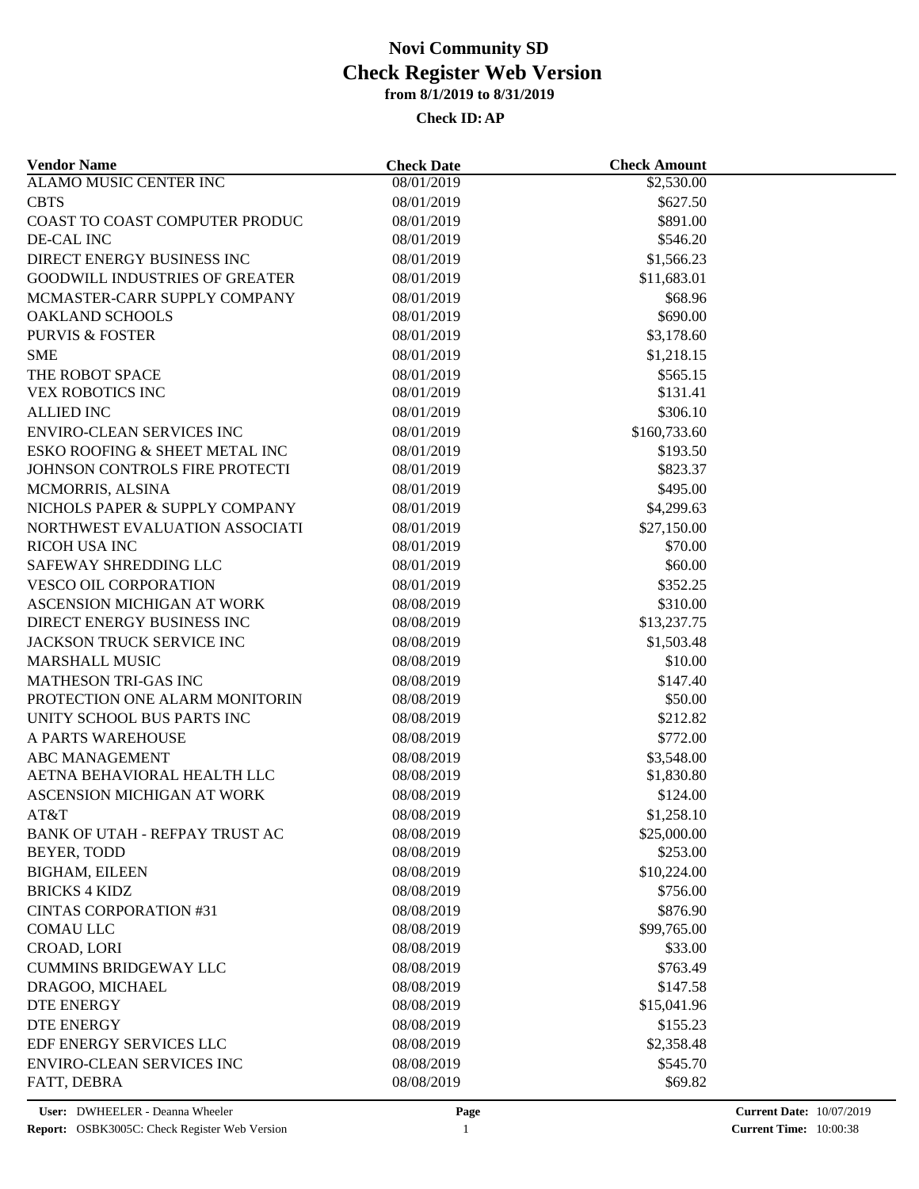| <b>Vendor Name</b>                                            | <b>Check Date</b>        | <b>Check Amount</b> |  |
|---------------------------------------------------------------|--------------------------|---------------------|--|
| <b>ALAMO MUSIC CENTER INC</b>                                 | 08/01/2019               | \$2,530.00          |  |
| <b>CBTS</b>                                                   | 08/01/2019               | \$627.50            |  |
| COAST TO COAST COMPUTER PRODUC                                | 08/01/2019               | \$891.00            |  |
| DE-CAL INC                                                    | 08/01/2019               | \$546.20            |  |
| DIRECT ENERGY BUSINESS INC                                    | 08/01/2019               | \$1,566.23          |  |
| <b>GOODWILL INDUSTRIES OF GREATER</b>                         | 08/01/2019               | \$11,683.01         |  |
| MCMASTER-CARR SUPPLY COMPANY                                  | 08/01/2019               | \$68.96             |  |
| <b>OAKLAND SCHOOLS</b>                                        | 08/01/2019               | \$690.00            |  |
| <b>PURVIS &amp; FOSTER</b>                                    | 08/01/2019               | \$3,178.60          |  |
| <b>SME</b>                                                    | 08/01/2019               | \$1,218.15          |  |
| THE ROBOT SPACE                                               | 08/01/2019               | \$565.15            |  |
| VEX ROBOTICS INC                                              | 08/01/2019               | \$131.41            |  |
| <b>ALLIED INC</b>                                             | 08/01/2019               | \$306.10            |  |
| <b>ENVIRO-CLEAN SERVICES INC</b>                              | 08/01/2019               | \$160,733.60        |  |
| ESKO ROOFING & SHEET METAL INC                                | 08/01/2019               | \$193.50            |  |
| JOHNSON CONTROLS FIRE PROTECTI                                | 08/01/2019               | \$823.37            |  |
| MCMORRIS, ALSINA                                              | 08/01/2019               | \$495.00            |  |
| NICHOLS PAPER & SUPPLY COMPANY                                | 08/01/2019               | \$4,299.63          |  |
| NORTHWEST EVALUATION ASSOCIATI                                | 08/01/2019               | \$27,150.00         |  |
| RICOH USA INC                                                 | 08/01/2019               | \$70.00             |  |
| SAFEWAY SHREDDING LLC                                         | 08/01/2019               | \$60.00             |  |
| <b>VESCO OIL CORPORATION</b>                                  | 08/01/2019               | \$352.25            |  |
| ASCENSION MICHIGAN AT WORK                                    | 08/08/2019               | \$310.00            |  |
| DIRECT ENERGY BUSINESS INC                                    | 08/08/2019               | \$13,237.75         |  |
| JACKSON TRUCK SERVICE INC                                     | 08/08/2019               | \$1,503.48          |  |
| <b>MARSHALL MUSIC</b>                                         | 08/08/2019               | \$10.00             |  |
|                                                               |                          |                     |  |
| <b>MATHESON TRI-GAS INC</b><br>PROTECTION ONE ALARM MONITORIN | 08/08/2019<br>08/08/2019 | \$147.40<br>\$50.00 |  |
| UNITY SCHOOL BUS PARTS INC                                    |                          | \$212.82            |  |
|                                                               | 08/08/2019               |                     |  |
| A PARTS WAREHOUSE                                             | 08/08/2019               | \$772.00            |  |
| <b>ABC MANAGEMENT</b>                                         | 08/08/2019               | \$3,548.00          |  |
| AETNA BEHAVIORAL HEALTH LLC                                   | 08/08/2019               | \$1,830.80          |  |
| ASCENSION MICHIGAN AT WORK                                    | 08/08/2019               | \$124.00            |  |
| AT&T                                                          | 08/08/2019               | \$1,258.10          |  |
| <b>BANK OF UTAH - REFPAY TRUST AC</b>                         | 08/08/2019               | \$25,000.00         |  |
| BEYER, TODD                                                   | 08/08/2019               | \$253.00            |  |
| <b>BIGHAM, EILEEN</b>                                         | 08/08/2019               | \$10,224.00         |  |
| <b>BRICKS 4 KIDZ</b>                                          | 08/08/2019               | \$756.00            |  |
| <b>CINTAS CORPORATION #31</b>                                 | 08/08/2019               | \$876.90            |  |
| <b>COMAU LLC</b>                                              | 08/08/2019               | \$99,765.00         |  |
| CROAD, LORI                                                   | 08/08/2019               | \$33.00             |  |
| <b>CUMMINS BRIDGEWAY LLC</b>                                  | 08/08/2019               | \$763.49            |  |
| DRAGOO, MICHAEL                                               | 08/08/2019               | \$147.58            |  |
| <b>DTE ENERGY</b>                                             | 08/08/2019               | \$15,041.96         |  |
| <b>DTE ENERGY</b>                                             | 08/08/2019               | \$155.23            |  |
| EDF ENERGY SERVICES LLC                                       | 08/08/2019               | \$2,358.48          |  |
| <b>ENVIRO-CLEAN SERVICES INC</b>                              | 08/08/2019               | \$545.70            |  |
| FATT, DEBRA                                                   | 08/08/2019               | \$69.82             |  |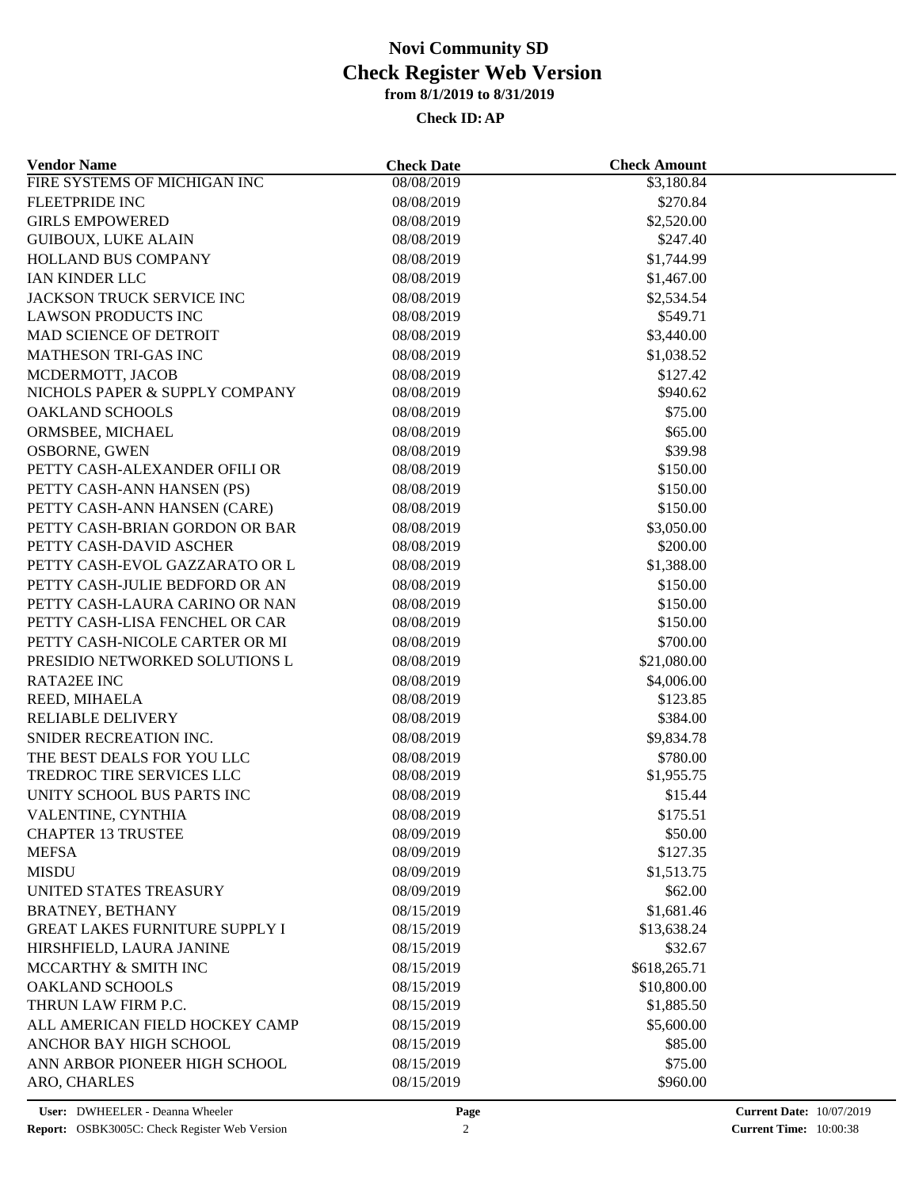| <b>Vendor Name</b>                                               | <b>Check Date</b> | <b>Check Amount</b> |  |
|------------------------------------------------------------------|-------------------|---------------------|--|
| FIRE SYSTEMS OF MICHIGAN INC                                     | 08/08/2019        | \$3,180.84          |  |
| FLEETPRIDE INC                                                   | 08/08/2019        | \$270.84            |  |
| <b>GIRLS EMPOWERED</b>                                           | 08/08/2019        | \$2,520.00          |  |
| <b>GUIBOUX, LUKE ALAIN</b>                                       | 08/08/2019        | \$247.40            |  |
| HOLLAND BUS COMPANY                                              | 08/08/2019        | \$1,744.99          |  |
| <b>IAN KINDER LLC</b>                                            | 08/08/2019        | \$1,467.00          |  |
| <b>JACKSON TRUCK SERVICE INC</b>                                 | 08/08/2019        | \$2,534.54          |  |
| <b>LAWSON PRODUCTS INC</b>                                       | 08/08/2019        | \$549.71            |  |
| MAD SCIENCE OF DETROIT                                           | 08/08/2019        | \$3,440.00          |  |
| <b>MATHESON TRI-GAS INC</b>                                      | 08/08/2019        | \$1,038.52          |  |
| MCDERMOTT, JACOB                                                 | 08/08/2019        | \$127.42            |  |
| NICHOLS PAPER & SUPPLY COMPANY                                   | 08/08/2019        | \$940.62            |  |
| <b>OAKLAND SCHOOLS</b>                                           | 08/08/2019        | \$75.00             |  |
| ORMSBEE, MICHAEL                                                 | 08/08/2019        | \$65.00             |  |
| <b>OSBORNE, GWEN</b>                                             | 08/08/2019        | \$39.98             |  |
| PETTY CASH-ALEXANDER OFILI OR                                    | 08/08/2019        | \$150.00            |  |
| PETTY CASH-ANN HANSEN (PS)                                       | 08/08/2019        | \$150.00            |  |
| PETTY CASH-ANN HANSEN (CARE)                                     | 08/08/2019        | \$150.00            |  |
| PETTY CASH-BRIAN GORDON OR BAR                                   | 08/08/2019        | \$3,050.00          |  |
| PETTY CASH-DAVID ASCHER                                          | 08/08/2019        | \$200.00            |  |
| PETTY CASH-EVOL GAZZARATO OR L                                   | 08/08/2019        | \$1,388.00          |  |
| PETTY CASH-JULIE BEDFORD OR AN                                   | 08/08/2019        | \$150.00            |  |
| PETTY CASH-LAURA CARINO OR NAN                                   | 08/08/2019        | \$150.00            |  |
| PETTY CASH-LISA FENCHEL OR CAR                                   | 08/08/2019        | \$150.00            |  |
| PETTY CASH-NICOLE CARTER OR MI                                   | 08/08/2019        | \$700.00            |  |
| PRESIDIO NETWORKED SOLUTIONS L                                   | 08/08/2019        | \$21,080.00         |  |
| <b>RATA2EE INC</b>                                               | 08/08/2019        | \$4,006.00          |  |
| REED, MIHAELA                                                    | 08/08/2019        | \$123.85            |  |
| <b>RELIABLE DELIVERY</b>                                         | 08/08/2019        | \$384.00            |  |
| SNIDER RECREATION INC.                                           | 08/08/2019        | \$9,834.78          |  |
| THE BEST DEALS FOR YOU LLC                                       | 08/08/2019        | \$780.00            |  |
| TREDROC TIRE SERVICES LLC                                        | 08/08/2019        | \$1,955.75          |  |
| UNITY SCHOOL BUS PARTS INC                                       | 08/08/2019        | \$15.44             |  |
| VALENTINE, CYNTHIA                                               | 08/08/2019        | \$175.51            |  |
| <b>CHAPTER 13 TRUSTEE</b>                                        | 08/09/2019        | \$50.00             |  |
| <b>MEFSA</b>                                                     | 08/09/2019        | \$127.35            |  |
| <b>MISDU</b>                                                     | 08/09/2019        | \$1,513.75          |  |
| UNITED STATES TREASURY                                           | 08/09/2019        | \$62.00             |  |
|                                                                  |                   |                     |  |
| <b>BRATNEY, BETHANY</b><br><b>GREAT LAKES FURNITURE SUPPLY I</b> | 08/15/2019        | \$1,681.46          |  |
|                                                                  | 08/15/2019        | \$13,638.24         |  |
| HIRSHFIELD, LAURA JANINE                                         | 08/15/2019        | \$32.67             |  |
| MCCARTHY & SMITH INC                                             | 08/15/2019        | \$618,265.71        |  |
| <b>OAKLAND SCHOOLS</b>                                           | 08/15/2019        | \$10,800.00         |  |
| THRUN LAW FIRM P.C.                                              | 08/15/2019        | \$1,885.50          |  |
| ALL AMERICAN FIELD HOCKEY CAMP                                   | 08/15/2019        | \$5,600.00          |  |
| ANCHOR BAY HIGH SCHOOL                                           | 08/15/2019        | \$85.00             |  |
| ANN ARBOR PIONEER HIGH SCHOOL                                    | 08/15/2019        | \$75.00             |  |
| ARO, CHARLES                                                     | 08/15/2019        | \$960.00            |  |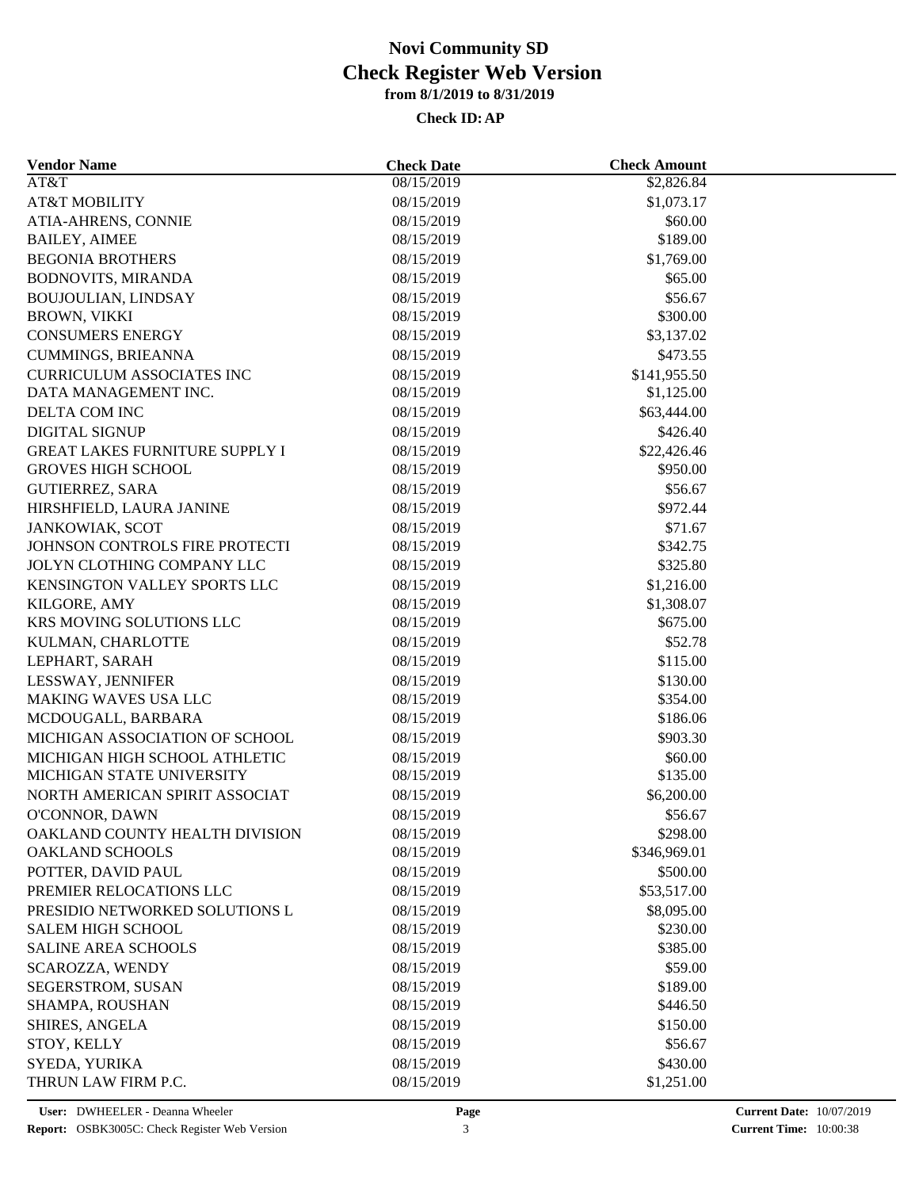| <b>Vendor Name</b>                    | <b>Check Date</b> | <b>Check Amount</b>    |  |
|---------------------------------------|-------------------|------------------------|--|
| AT&T                                  | 08/15/2019        | \$2,826.84             |  |
| <b>AT&amp;T MOBILITY</b>              | 08/15/2019        | \$1,073.17             |  |
| ATIA-AHRENS, CONNIE                   | 08/15/2019        | \$60.00                |  |
| <b>BAILEY, AIMEE</b>                  | 08/15/2019        | \$189.00               |  |
| <b>BEGONIA BROTHERS</b>               | 08/15/2019        | \$1,769.00             |  |
| <b>BODNOVITS, MIRANDA</b>             | 08/15/2019        | \$65.00                |  |
| <b>BOUJOULIAN, LINDSAY</b>            | 08/15/2019        | \$56.67                |  |
| <b>BROWN, VIKKI</b>                   | 08/15/2019        | \$300.00               |  |
| <b>CONSUMERS ENERGY</b>               | 08/15/2019        | \$3,137.02             |  |
| <b>CUMMINGS, BRIEANNA</b>             | 08/15/2019        | \$473.55               |  |
| <b>CURRICULUM ASSOCIATES INC</b>      | 08/15/2019        | \$141,955.50           |  |
| DATA MANAGEMENT INC.                  | 08/15/2019        | \$1,125.00             |  |
| DELTA COM INC                         | 08/15/2019        | \$63,444.00            |  |
| <b>DIGITAL SIGNUP</b>                 | 08/15/2019        | \$426.40               |  |
| <b>GREAT LAKES FURNITURE SUPPLY I</b> | 08/15/2019        | \$22,426.46            |  |
| <b>GROVES HIGH SCHOOL</b>             | 08/15/2019        | \$950.00               |  |
| <b>GUTIERREZ, SARA</b>                | 08/15/2019        | \$56.67                |  |
| HIRSHFIELD, LAURA JANINE              | 08/15/2019        | \$972.44               |  |
| JANKOWIAK, SCOT                       | 08/15/2019        | \$71.67                |  |
| JOHNSON CONTROLS FIRE PROTECTI        | 08/15/2019        | \$342.75               |  |
| JOLYN CLOTHING COMPANY LLC            | 08/15/2019        | \$325.80               |  |
| KENSINGTON VALLEY SPORTS LLC          | 08/15/2019        | \$1,216.00             |  |
| KILGORE, AMY                          | 08/15/2019        |                        |  |
| KRS MOVING SOLUTIONS LLC              | 08/15/2019        | \$1,308.07<br>\$675.00 |  |
| KULMAN, CHARLOTTE                     | 08/15/2019        | \$52.78                |  |
|                                       |                   |                        |  |
| LEPHART, SARAH                        | 08/15/2019        | \$115.00               |  |
| LESSWAY, JENNIFER                     | 08/15/2019        | \$130.00               |  |
| MAKING WAVES USA LLC                  | 08/15/2019        | \$354.00               |  |
| MCDOUGALL, BARBARA                    | 08/15/2019        | \$186.06               |  |
| MICHIGAN ASSOCIATION OF SCHOOL        | 08/15/2019        | \$903.30               |  |
| MICHIGAN HIGH SCHOOL ATHLETIC         | 08/15/2019        | \$60.00                |  |
| MICHIGAN STATE UNIVERSITY             | 08/15/2019        | \$135.00               |  |
| NORTH AMERICAN SPIRIT ASSOCIAT        | 08/15/2019        | \$6,200.00             |  |
| O'CONNOR, DAWN                        | 08/15/2019        | \$56.67                |  |
| OAKLAND COUNTY HEALTH DIVISION        | 08/15/2019        | \$298.00               |  |
| OAKLAND SCHOOLS                       | 08/15/2019        | \$346,969.01           |  |
| POTTER, DAVID PAUL                    | 08/15/2019        | \$500.00               |  |
| PREMIER RELOCATIONS LLC               | 08/15/2019        | \$53,517.00            |  |
| PRESIDIO NETWORKED SOLUTIONS L        | 08/15/2019        | \$8,095.00             |  |
| <b>SALEM HIGH SCHOOL</b>              | 08/15/2019        | \$230.00               |  |
| SALINE AREA SCHOOLS                   | 08/15/2019        | \$385.00               |  |
| SCAROZZA, WENDY                       | 08/15/2019        | \$59.00                |  |
| SEGERSTROM, SUSAN                     | 08/15/2019        | \$189.00               |  |
| SHAMPA, ROUSHAN                       | 08/15/2019        | \$446.50               |  |
| SHIRES, ANGELA                        | 08/15/2019        | \$150.00               |  |
| STOY, KELLY                           | 08/15/2019        | \$56.67                |  |
| SYEDA, YURIKA                         | 08/15/2019        | \$430.00               |  |
| THRUN LAW FIRM P.C.                   | 08/15/2019        | \$1,251.00             |  |
|                                       |                   |                        |  |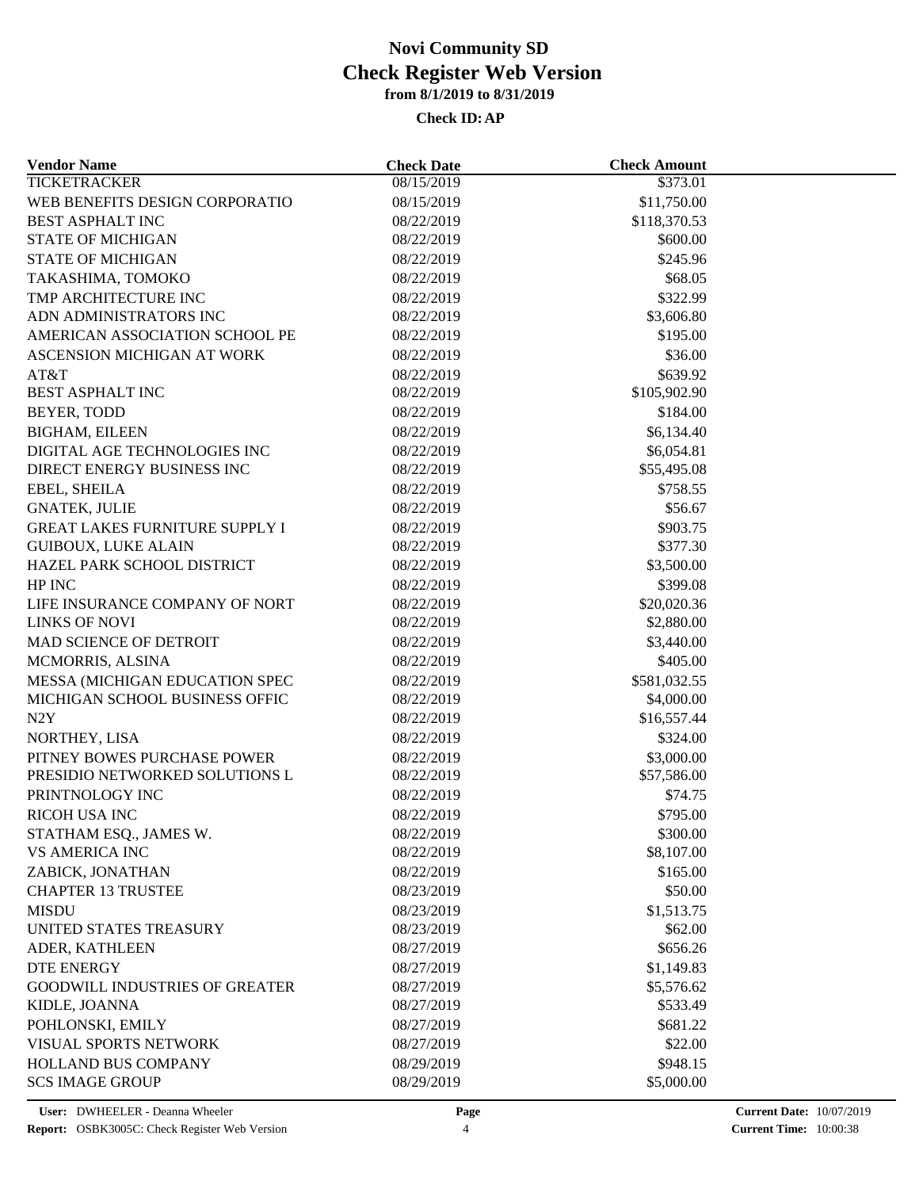| <b>Vendor Name</b>                     | <b>Check Date</b>        | <b>Check Amount</b> |  |
|----------------------------------------|--------------------------|---------------------|--|
| <b>TICKETRACKER</b>                    | 08/15/2019               | \$373.01            |  |
| WEB BENEFITS DESIGN CORPORATIO         | 08/15/2019               | \$11,750.00         |  |
| <b>BEST ASPHALT INC</b>                | 08/22/2019               | \$118,370.53        |  |
| <b>STATE OF MICHIGAN</b>               | 08/22/2019               | \$600.00            |  |
| <b>STATE OF MICHIGAN</b>               | 08/22/2019               | \$245.96            |  |
| TAKASHIMA, TOMOKO                      | 08/22/2019               | \$68.05             |  |
| TMP ARCHITECTURE INC                   | 08/22/2019               | \$322.99            |  |
| ADN ADMINISTRATORS INC                 | 08/22/2019               | \$3,606.80          |  |
| AMERICAN ASSOCIATION SCHOOL PE         | 08/22/2019               | \$195.00            |  |
| ASCENSION MICHIGAN AT WORK             | 08/22/2019               | \$36.00             |  |
| AT&T                                   | 08/22/2019               | \$639.92            |  |
| <b>BEST ASPHALT INC</b>                | 08/22/2019               | \$105,902.90        |  |
| BEYER, TODD                            | 08/22/2019               | \$184.00            |  |
| <b>BIGHAM, EILEEN</b>                  | 08/22/2019               | \$6,134.40          |  |
| DIGITAL AGE TECHNOLOGIES INC           | 08/22/2019               | \$6,054.81          |  |
| DIRECT ENERGY BUSINESS INC             | 08/22/2019               | \$55,495.08         |  |
| EBEL, SHEILA                           | 08/22/2019               | \$758.55            |  |
| <b>GNATEK, JULIE</b>                   | 08/22/2019               | \$56.67             |  |
| <b>GREAT LAKES FURNITURE SUPPLY I</b>  | 08/22/2019               | \$903.75            |  |
| <b>GUIBOUX, LUKE ALAIN</b>             | 08/22/2019               | \$377.30            |  |
| HAZEL PARK SCHOOL DISTRICT             | 08/22/2019               | \$3,500.00          |  |
| HP INC                                 | 08/22/2019               | \$399.08            |  |
| LIFE INSURANCE COMPANY OF NORT         | 08/22/2019               | \$20,020.36         |  |
| <b>LINKS OF NOVI</b>                   | 08/22/2019               | \$2,880.00          |  |
| MAD SCIENCE OF DETROIT                 | 08/22/2019               | \$3,440.00          |  |
| MCMORRIS, ALSINA                       | 08/22/2019               | \$405.00            |  |
| MESSA (MICHIGAN EDUCATION SPEC         | 08/22/2019               | \$581,032.55        |  |
| MICHIGAN SCHOOL BUSINESS OFFIC         | 08/22/2019               | \$4,000.00          |  |
| N2Y                                    | 08/22/2019               | \$16,557.44         |  |
| NORTHEY, LISA                          | 08/22/2019               | \$324.00            |  |
| PITNEY BOWES PURCHASE POWER            | 08/22/2019               | \$3,000.00          |  |
| PRESIDIO NETWORKED SOLUTIONS L         | 08/22/2019               | \$57,586.00         |  |
| PRINTNOLOGY INC                        | 08/22/2019               | \$74.75             |  |
| RICOH USA INC                          | 08/22/2019               | \$795.00            |  |
| STATHAM ESQ., JAMES W.                 | 08/22/2019               | \$300.00            |  |
| <b>VS AMERICA INC</b>                  | 08/22/2019               | \$8,107.00          |  |
| ZABICK, JONATHAN                       | 08/22/2019               | \$165.00            |  |
| <b>CHAPTER 13 TRUSTEE</b>              |                          | \$50.00             |  |
|                                        | 08/23/2019<br>08/23/2019 |                     |  |
| <b>MISDU</b><br>UNITED STATES TREASURY |                          | \$1,513.75          |  |
|                                        | 08/23/2019               | \$62.00             |  |
| ADER, KATHLEEN                         | 08/27/2019               | \$656.26            |  |
| <b>DTE ENERGY</b>                      | 08/27/2019               | \$1,149.83          |  |
| <b>GOODWILL INDUSTRIES OF GREATER</b>  | 08/27/2019               | \$5,576.62          |  |
| KIDLE, JOANNA                          | 08/27/2019               | \$533.49            |  |
| POHLONSKI, EMILY                       | 08/27/2019               | \$681.22            |  |
| VISUAL SPORTS NETWORK                  | 08/27/2019               | \$22.00             |  |
| HOLLAND BUS COMPANY                    | 08/29/2019               | \$948.15            |  |
| <b>SCS IMAGE GROUP</b>                 | 08/29/2019               | \$5,000.00          |  |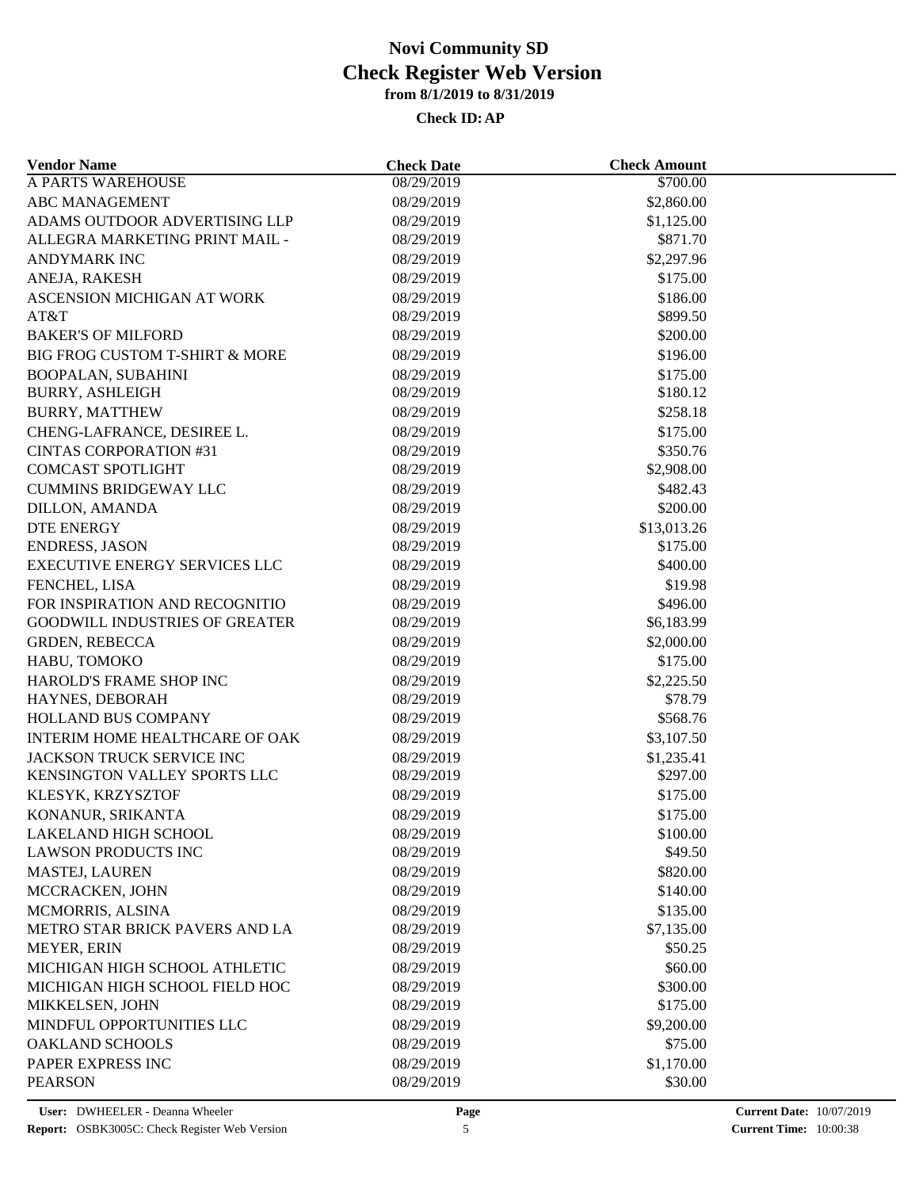| <b>Vendor Name</b>                                                      | <b>Check Date</b> | <b>Check Amount</b> |  |
|-------------------------------------------------------------------------|-------------------|---------------------|--|
| <b>A PARTS WAREHOUSE</b>                                                | 08/29/2019        | \$700.00            |  |
| <b>ABC MANAGEMENT</b>                                                   | 08/29/2019        | \$2,860.00          |  |
| ADAMS OUTDOOR ADVERTISING LLP                                           | 08/29/2019        | \$1,125.00          |  |
| ALLEGRA MARKETING PRINT MAIL -                                          | 08/29/2019        | \$871.70            |  |
| <b>ANDYMARK INC</b>                                                     | 08/29/2019        | \$2,297.96          |  |
| ANEJA, RAKESH                                                           | 08/29/2019        | \$175.00            |  |
| ASCENSION MICHIGAN AT WORK                                              | 08/29/2019        | \$186.00            |  |
| AT&T                                                                    | 08/29/2019        | \$899.50            |  |
| <b>BAKER'S OF MILFORD</b>                                               | 08/29/2019        | \$200.00            |  |
| <b>BIG FROG CUSTOM T-SHIRT &amp; MORE</b>                               | 08/29/2019        | \$196.00            |  |
| <b>BOOPALAN, SUBAHINI</b>                                               | 08/29/2019        | \$175.00            |  |
| <b>BURRY, ASHLEIGH</b>                                                  | 08/29/2019        | \$180.12            |  |
| <b>BURRY, MATTHEW</b>                                                   | 08/29/2019        | \$258.18            |  |
| CHENG-LAFRANCE, DESIREE L.                                              | 08/29/2019        | \$175.00            |  |
| <b>CINTAS CORPORATION #31</b>                                           | 08/29/2019        | \$350.76            |  |
| <b>COMCAST SPOTLIGHT</b>                                                | 08/29/2019        | \$2,908.00          |  |
| <b>CUMMINS BRIDGEWAY LLC</b>                                            | 08/29/2019        | \$482.43            |  |
| <b>DILLON, AMANDA</b>                                                   | 08/29/2019        | \$200.00            |  |
| <b>DTE ENERGY</b>                                                       | 08/29/2019        | \$13,013.26         |  |
| <b>ENDRESS, JASON</b>                                                   | 08/29/2019        | \$175.00            |  |
| EXECUTIVE ENERGY SERVICES LLC                                           | 08/29/2019        | \$400.00            |  |
| FENCHEL, LISA                                                           | 08/29/2019        | \$19.98             |  |
|                                                                         |                   |                     |  |
| FOR INSPIRATION AND RECOGNITIO<br><b>GOODWILL INDUSTRIES OF GREATER</b> | 08/29/2019        | \$496.00            |  |
|                                                                         | 08/29/2019        | \$6,183.99          |  |
| <b>GRDEN, REBECCA</b>                                                   | 08/29/2019        | \$2,000.00          |  |
| HABU, TOMOKO                                                            | 08/29/2019        | \$175.00            |  |
| HAROLD'S FRAME SHOP INC                                                 | 08/29/2019        | \$2,225.50          |  |
| HAYNES, DEBORAH                                                         | 08/29/2019        | \$78.79             |  |
| HOLLAND BUS COMPANY                                                     | 08/29/2019        | \$568.76            |  |
| INTERIM HOME HEALTHCARE OF OAK                                          | 08/29/2019        | \$3,107.50          |  |
| JACKSON TRUCK SERVICE INC                                               | 08/29/2019        | \$1,235.41          |  |
| KENSINGTON VALLEY SPORTS LLC                                            | 08/29/2019        | \$297.00            |  |
| KLESYK, KRZYSZTOF                                                       | 08/29/2019        | \$175.00            |  |
| KONANUR, SRIKANTA                                                       | 08/29/2019        | \$175.00            |  |
| LAKELAND HIGH SCHOOL                                                    | 08/29/2019        | \$100.00            |  |
| <b>LAWSON PRODUCTS INC</b>                                              | 08/29/2019        | \$49.50             |  |
| <b>MASTEJ, LAUREN</b>                                                   | 08/29/2019        | \$820.00            |  |
| MCCRACKEN, JOHN                                                         | 08/29/2019        | \$140.00            |  |
| MCMORRIS, ALSINA                                                        | 08/29/2019        | \$135.00            |  |
| METRO STAR BRICK PAVERS AND LA                                          | 08/29/2019        | \$7,135.00          |  |
| MEYER, ERIN                                                             | 08/29/2019        | \$50.25             |  |
| MICHIGAN HIGH SCHOOL ATHLETIC                                           | 08/29/2019        | \$60.00             |  |
| MICHIGAN HIGH SCHOOL FIELD HOC                                          | 08/29/2019        | \$300.00            |  |
| MIKKELSEN, JOHN                                                         | 08/29/2019        | \$175.00            |  |
| MINDFUL OPPORTUNITIES LLC                                               | 08/29/2019        | \$9,200.00          |  |
| <b>OAKLAND SCHOOLS</b>                                                  | 08/29/2019        | \$75.00             |  |
| PAPER EXPRESS INC                                                       | 08/29/2019        | \$1,170.00          |  |
| <b>PEARSON</b>                                                          | 08/29/2019        | \$30.00             |  |
|                                                                         |                   |                     |  |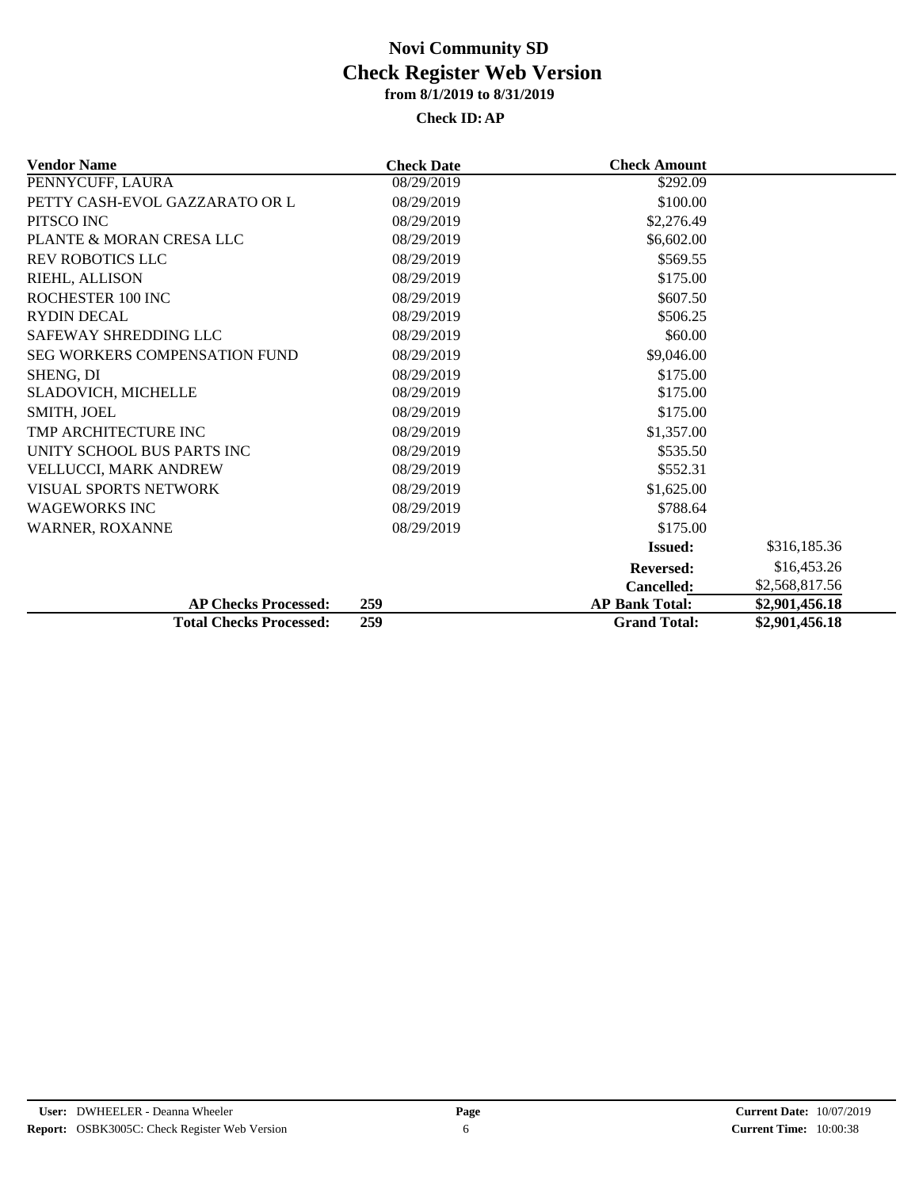| <b>Vendor Name</b>                   | <b>Check Date</b>   | <b>Check Amount</b>   |                |  |
|--------------------------------------|---------------------|-----------------------|----------------|--|
| PENNYCUFF, LAURA                     | $\sqrt{08/29}/2019$ | \$292.09              |                |  |
| PETTY CASH-EVOL GAZZARATO OR L       | 08/29/2019          | \$100.00              |                |  |
| PITSCO INC                           | 08/29/2019          | \$2,276.49            |                |  |
| PLANTE & MORAN CRESA LLC             | 08/29/2019          | \$6,602.00            |                |  |
| <b>REV ROBOTICS LLC</b>              | 08/29/2019          | \$569.55              |                |  |
| RIEHL, ALLISON                       | 08/29/2019          | \$175.00              |                |  |
| ROCHESTER 100 INC                    | 08/29/2019          | \$607.50              |                |  |
| <b>RYDIN DECAL</b>                   | 08/29/2019          | \$506.25              |                |  |
| SAFEWAY SHREDDING LLC                | 08/29/2019          | \$60.00               |                |  |
| <b>SEG WORKERS COMPENSATION FUND</b> | 08/29/2019          | \$9,046.00            |                |  |
| SHENG, DI                            | 08/29/2019          | \$175.00              |                |  |
| SLADOVICH, MICHELLE                  | 08/29/2019          | \$175.00              |                |  |
| <b>SMITH, JOEL</b>                   | 08/29/2019          | \$175.00              |                |  |
| TMP ARCHITECTURE INC                 | 08/29/2019          | \$1,357.00            |                |  |
| UNITY SCHOOL BUS PARTS INC           | 08/29/2019          | \$535.50              |                |  |
| VELLUCCI, MARK ANDREW                | 08/29/2019          | \$552.31              |                |  |
| <b>VISUAL SPORTS NETWORK</b>         | 08/29/2019          | \$1,625.00            |                |  |
| <b>WAGEWORKS INC</b>                 | 08/29/2019          | \$788.64              |                |  |
| WARNER, ROXANNE                      | 08/29/2019          | \$175.00              |                |  |
|                                      |                     | <b>Issued:</b>        | \$316,185.36   |  |
|                                      |                     | <b>Reversed:</b>      | \$16,453.26    |  |
|                                      |                     | <b>Cancelled:</b>     | \$2,568,817.56 |  |
| <b>AP Checks Processed:</b>          | 259                 | <b>AP Bank Total:</b> | \$2,901,456.18 |  |
| <b>Total Checks Processed:</b>       | 259                 | <b>Grand Total:</b>   | \$2,901,456.18 |  |